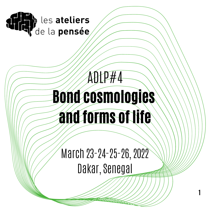

# ADLP#4 Bond cosmologies and forms of life

March 23-24-25-26, 2022 Dakar, Senegal

**1**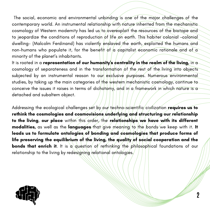The social, economic and environmental unbinding is one of the major challenges of the contemporary world. An instrumental relationship with nature inherited from the mechanistic cosmology of Western modernity has led us/to/overexploit the resources of the biotope and to jeopardize the conditions of reproduction of life on earth. This habiter colonial -colonial dwelling- (Malcolm Ferdinand) has violently enslaved the earth, exploited the humans and non-humans who populate it, for the benefit of  $\alpha$  capitalist economic rationale and of a minority of the planet' s inhabitants.

It is rooted in a **representation of our humanity** s centrality in the realm of the living, in a cosmology of separateness and in the transformation of the rest of the living into objects subjected by an instrumental reason to our exclusive purposes. Numerous environmental studies, by taking up the main categories of the western/mechanistic cosmology, continue to conceive the issues it raises in terms of dichotomy, and in a framework in which nature is a detached and subaltern object.

Addressing the ecological challenges set by our techno-scientific civilization requires us to rethink the cosmologies and cosmovisions underlying and structuring our relationship to the living, our place within this order, the relationships we have with its different modalities, as well as the languages that give meaning to the bonds we keep with it. It leads us to formulate ontologies of bonding and cosmologies that produce forms of life preserving the equilibrium of the living, the quality of social cooperation and the **bonds that enrich it**. It is a question of rethinking the philosophical foundations of our relationship to the living by redesigning relational ontologies.

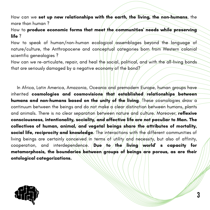How can we set up new relationships with the earth, the living, the non-humans, the more than human ?

How to **produce economic forms that meet the communities'**  needs while preserving life?

How to speak of human/non-human ecological assemblages beyond the language of nature/culture, the Anthropocene and conceptual categories born from Western colonial scientific genealogies ?

How can we re-articulate, repair, and heal the social, political, and with the all-living bonds that are seriously damaged by a negative economy of the bond?

In Africa, Latin America, Amazonia, Oceania and premodern Europe, human groups have inherited **cosmologies and cosmovisions that established** relationships between humans and non-humans based on the unity of the living. These cosmologies draw a continuum between the beings and do not make a clear distinction between humans, plants and animals. There is no clear separation between nature and culture. Moreover, reflexive consciousness, intentionality, sociality, and affective life are not peculiar to Man. The collectives of human, animal, and vegetal beings share the attributes of mortality, social life, reciprocity and knowledge. The interactions with the different communities of living beings are certainly conceived in terms of utility and necessity, but also of affinity, cooperation, and interdependence. Due to the living world s capacity for metamorphosis, the boundaries between groups of beings are porous, as are their ontological categorizations.

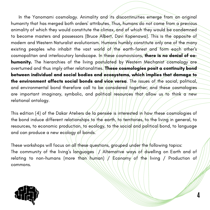In the Yanomami cosmology. Animality and its discontinuities emerge from an original humanity that has merged both orders ' attributes. Thus, humans do not come from a previous animality of which they would constitute the climax, and of which they would be condemned to become masters and possessors (Bruce Albert, Davi Kopenawa). This is the opposite of modern and Western Naturalist evolutionism. Humans humbly constitute only one of the many existing peoples who inhabit the vast wo<mark>rld of/the earth-forest and form each other</mark> s cosmopolitan and interlocutory landscape. In these cosmovisions, there is no denial of cohumanity. The hierarchies of the living postulated by Western Mechanist cosmology are overturned and thus imply other relationalities. These cosmologies posit a continuity bond between individual and social bodies and ecosystems, which implies that damage to the environment affects social bonds and vice versa. The issues of the social, political, and environmental bond therefore call to be considered together; and these cosmologies are important imaginary, symbolic, and political resources that allow us to think a new relational ontology.

This edition (4) of the Dakar Ateliers de la pensée is interested in how these cosmologies of the bond induce different relationships to the earth, to territories, to the living in general, to resources, to economic production, to ecology, to the social and political bond, to language and can produce a new ecology of bonds.

These workshops will focus on all these questions, grouped under the following topics: The community of the living's languages (/ˌ/Alternative ways of dwelling on Earth and of relating to non-humans (more than human) / Economy of the living / Production of commons.

**4**

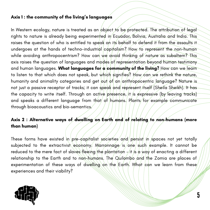#### Axis 1 : the community of the living ' s languages

In Western ecology, nature is treated as an object to be protected. The attribution of legal rights to nature is already being experimented in Ecuador, Bolivia, Australia and India. This raises the question of who is entitled to speak on its behalf to defend it from the assaults it undergoes at the hands of techno-industrial capitalism? How to represent the non-human while avoiding anthropocentrism? How can we avoid thinking of nature as subaltern? This axis raises the question of languages and modes of representation beyond human testimony and human languages. What languages for a community of the living? How can we learn to listen to that which does not speak, but which signifies? How can we rethink the nature, humanity and animality categories and get out of an anthropocentric language? Nature is not just a passive receptor of tracks; it can speak and represent itself (Sheila Sheikh). It has the capacity to write itself. Through an active presence, it is expressive (by leaving tracks) and speaks a different language from that of humans. Plants for example communicate through bioacoustics and bio-semantics.

### Axis 2 : Alternative ways of dwelling on Earth and of relating to non-humans (more than human)

These forms have existed in pre-capitalist societies and persist in spaces not yet totally subjected to the extractivist economy. Marronnage is one such example. It cannot be reduced to the mere fact of slaves fleeing the plantation  $-$  it is a way of enacting a different relationship to the Earth and to non-humans. The Quilombo and the Zomia are places of experimentation of these ways of dwelling on the Earth. What can we learn from these experiences and their viability?

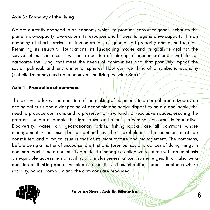#### Axis 3 : Economy of the living

We are currently engaged in an economy which, to produce consumer goods, exhausts the planet's bio-capacity, overexploits its resour<mark>ce</mark>s and hinders its regenerative capacity. It is an economy of short-termism, of immoderation, of generalized precarity and of suffocation. Rethinking its structural foundations, its functioning modes and its goals is vital for the survival of our societies. It will be a question of thinking of economic models that do not carbonize the living, that meet the needs of communities and that positively impact the social, political, and environmental spheres. How can we think of a symbiotic economy (Isabelle Delannoy) and an economy of the li<mark>vi</mark>ng (Felwine Sarr)?

#### Axis 4 : Production of commons

This axis will address the question of the making of commons. In an era characterized by an ecological crisis and a deepening of economic/and social disparities on a global scale, the need to produce commons and to preserve non-rival and non-exclusive spaces, ensuring the greatest number of people the right to use and access to common/resources is imperative. Biodiversity, water, air, geostationary orbits, fishing docks, are all commons whose management rules must be co-defined by the stakeholders. The common must be constituted and a major issue is that of its manufacture and management. The commons, before being a matter of discourse, are first and foremost social practices of doing things in common. Each time a community decides to manage a collective resource with an emphasis on equitable access, sustainability, and inclusiveness, a common emerges. It will also be a question of thinking about the places of politics, cities, inhabited spaces, as places where sociality, bonds, convivium and the commons are produced.



Felwine Sarr , Achille Mbembé.